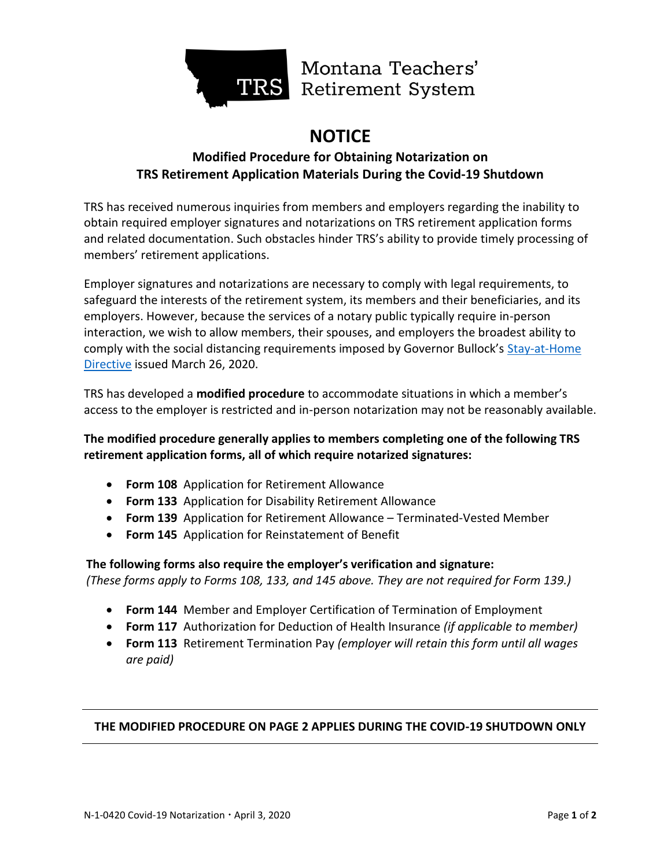

Montana Teachers' TRS Retirement System

# **NOTICE**

## **Modified Procedure for Obtaining Notarization on TRS Retirement Application Materials During the Covid-19 Shutdown**

TRS has received numerous inquiries from members and employers regarding the inability to obtain required employer signatures and notarizations on TRS retirement application forms and related documentation. Such obstacles hinder TRS's ability to provide timely processing of members' retirement applications.

Employer signatures and notarizations are necessary to comply with legal requirements, to safeguard the interests of the retirement system, its members and their beneficiaries, and its employers. However, because the services of a notary public typically require in-person interaction, we wish to allow members, their spouses, and employers the broadest ability to comply with the social distancing requirements imposed by Governor Bullock's Stay-at-Home [Directive](https://covid19.mt.gov/Portals/223/Documents/Stay%20at%20Home%20Directive.pdf?ver=2020-03-26-173332-177) issued March 26, 2020.

TRS has developed a **modified procedure** to accommodate situations in which a member's access to the employer is restricted and in-person notarization may not be reasonably available.

#### **The modified procedure generally applies to members completing one of the following TRS retirement application forms, all of which require notarized signatures:**

- **Form 108** Application for Retirement Allowance
- **Form 133** Application for Disability Retirement Allowance
- **Form 139** Application for Retirement Allowance Terminated-Vested Member
- **Form 145** Application for Reinstatement of Benefit

### **The following forms also require the employer's verification and signature:**  *(These forms apply to Forms 108, 133, and 145 above. They are not required for Form 139.)*

- **Form 144** Member and Employer Certification of Termination of Employment
- **Form 117** Authorization for Deduction of Health Insurance *(if applicable to member)*
- **Form 113** Retirement Termination Pay *(employer will retain this form until all wages are paid)*

#### **THE MODIFIED PROCEDURE ON PAGE 2 APPLIES DURING THE COVID-19 SHUTDOWN ONLY**